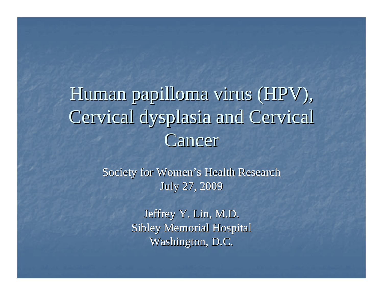### Human papilloma virus (HPV), Cervical dysplasia and Cervical Cancer

Society for Women's Health Research July 27, 2009

> Jeffrey Y. Lin, M.D. Sibley Memorial Hospital Washington, D.C.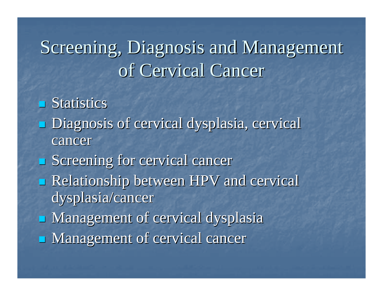### Screening, Diagnosis and Management of Cervical Cancer

 $\blacksquare$  Statistics

- Diagnosis of cervical dysplasia, cervical Diagnosis of cervical dysplasia, cervical cancer
- $\blacksquare$  Screening for cervical cancer
- **Relationship between HPV and cervical** dysplasia/cancer
- Management of cervical dysplasia Management of cervical dysplasia
- Management of cervical cancer Management of cervical cancer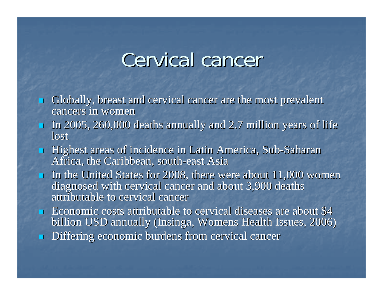### Cervical cancer

- $\mathbb{R}^2$ Globally, breast and cervical cancer are the most prevalent cancers in women
- In 2005, 260,000 deaths annually and 2.7 million years of life lost
- **Highest areas of incidence in Latin America, Sub-Saharan** Africa, the Caribbean, south-east Asia
- In the United States for 2008, there were about  $11,000$  women diagnosed with cervical cancer and about 3,900 deaths attributable to cervical cancer
- **Example 1** Economic costs attributable to cervical diseases are about  $$4$ billion USD annually (Insinga, Womens Health Issues, 2006)
- $\overline{\phantom{0}}$ Differing economic burdens from cervical cancer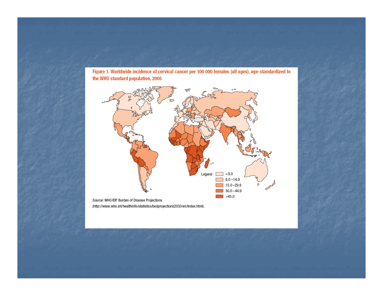Figure 1. Worldwide incidence of cervical cancer per 100 000 females (all ages), age-standardized to the WHO standard population, 2005



(http://www.who.int/healthinfo/statistics/bodprojections2030/en/index.html).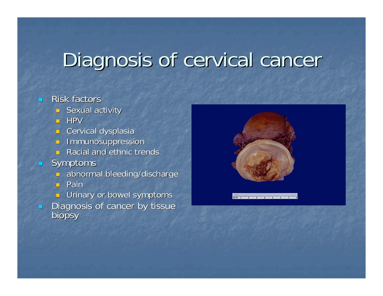## Diagnosis of cervical cancer

#### $\mathbb{Z}$ Risk factors

- $\blacksquare$  Sexual activity
- HPV
- $\Box$  Cervical dysplasia
- $\blacksquare$  Immunosuppression
- $\blacksquare$  Racial and ethnic trends
- $\blacksquare$  Symptoms
	- n. abnormal bleeding/discharge
	- **□** Pain
	- **J** Urinary or bowel symptoms
- $\blacksquare$ Diagnosis of cancer by tissue<br>biopsy

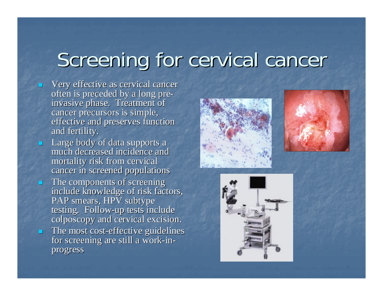# Screening for cervical cancer

- $\blacksquare$ Very effective as cervical cancer often is preceded by a long pre- invasive phase. Treatment of cancer precursors is simple, effective and preserves function and fertility.
- $\blacksquare$ **Large body of data supports a** much decreased incidence and mortality risk from cervical cancer in screened populations
- $\blacksquare$ The components of screening include knowledge of risk factors, PAP smears, HPV subtype testing. Follow-up tests include colposcopy and cervical excision.  $\blacksquare$  The most cost-effective guidelines for screening are still a work-inprogress





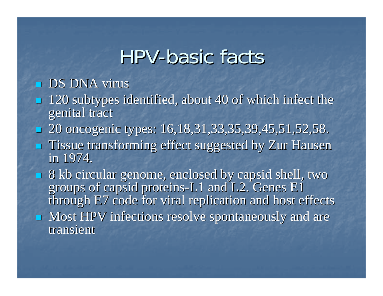### HPV-basic facts

### $\blacksquare$  DS DNA virus

- $\blacksquare$  120 subtypes identified, about 40 of which infect the genital tract
- $\mathbb{R}^2$ 20 oncogenic types: 16,18,31,33,35,39,45,51,52,58.
- **Tissue transforming effect suggested by Zur Hausen** in 1974.
- $\blacksquare$  8 kb circular genome, enclosed by capsid shell, two groups of capsid proteins-L1 and L2. Genes  $E1$ through E7 code for viral replication and host effects **Most HPV infections resolve spontaneously and are** transient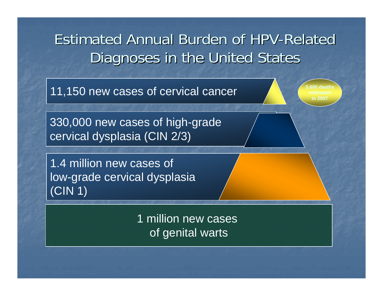### Estimated Annual Burden of HPV-Related Diagnoses in the United States

11,150 new cases of cervical cancer **11 11 150** deaths

330,000 new cases of high-grade cervical dysplasia (CIN 2/3)

1.4 million new cases of low-grade cervical dysplasia (CIN 1)

> 1 million new cases of genital warts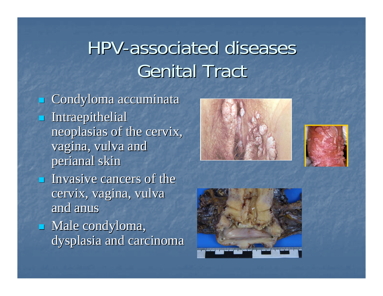### HPV-associated diseases **Genital Tract**

 $\mathbb{R}^2$ Condyloma accuminata **Intraepithelial** neoplasias of the cervix, vagina, vulva and perianal skin  $\blacksquare$  Invasive cancers of the cervix, vagina, vulva and anus Male condyloma, dysplasia and carcinoma





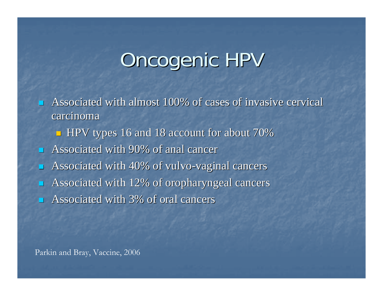## Oncogenic HPV

 $\overline{\phantom{0}}$ Associated with almost 100% of cases of invasive cervical carcinoma

■ HPV types 16 and 18 account for about 70%

 $\blacksquare$ Associated with 90% of anal cancer

П Associated with 40% of vulvo-vaginal cancers

 $\mathbb{R}^2$ Associated with 12% of oropharyngeal cancers

 $\mathbb{R}^2$ Associated with 3% of oral cancers

Parkin and Bray, Vaccine, 2006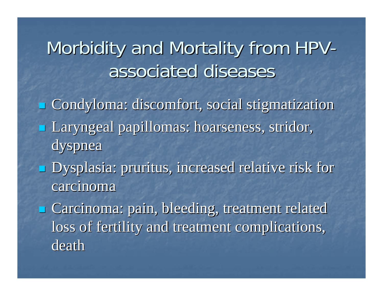### Morbidity and Mortality from HPVassociated diseases

- Condyloma: discomfort, social stigmatization Laryngeal papillomas: hoarseness, stridor, dyspnea
- **Dysplasia: pruritus, increased relative risk for**  $\blacksquare$ carcinoma

**E** Carcinoma: pain, bleeding, treatment related loss of fertility and treatment complications, death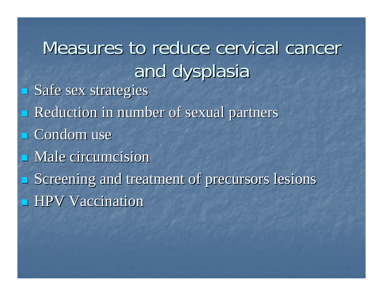Measures to reduce cervical cancer and dysplasia Safe sex strategies **Reduction in number of sexual partners**  $\Box$  Condom use  $\blacksquare$  Male circumcision  $\blacksquare$  Screening and treatment of precursors lesions  $\blacksquare$  HPV Vaccination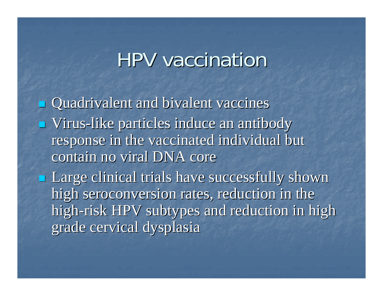### HPV vaccination HPV vaccination

Quadrivalent and bivalent vaccines **u** Virus-like particles induce an antibody response in the vaccinated individual but contain no viral DNA core **Large clinical trials have successfully shown** high seroconversion rates, reduction in the high-risk HPV subtypes and reduction in high grade cervical dysplasia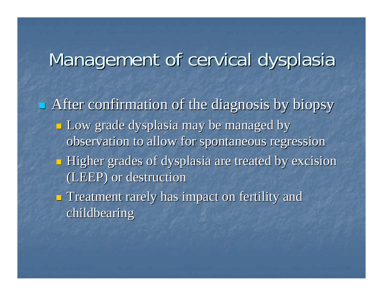### Management of cervical dysplasia

 $\blacksquare$  After confirmation of the diagnosis by biopsy **Low grade dysplasia may be managed by** observation to allow for spontaneous regression  $\blacksquare$  Higher grades of dysplasia are treated by excision (LEEP) or destruction (LEEP) or destruction

 $\blacksquare$  Treatment rarely has impact on fertility and childbearing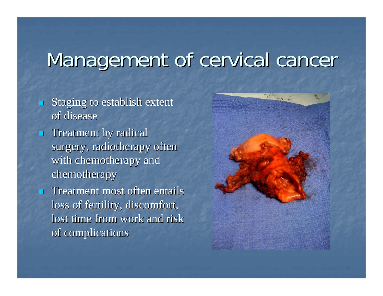### Management of cervical cancer

 $\overline{\phantom{0}}$ Staging to establish extent of disease

 $\blacksquare$  Treatment by radical surgery, radiotherapy often with chemotherapy and chemotherapy

 $\blacksquare$  Treatment most often entails loss of fertility, discomfort, lost time from work and risk of complications